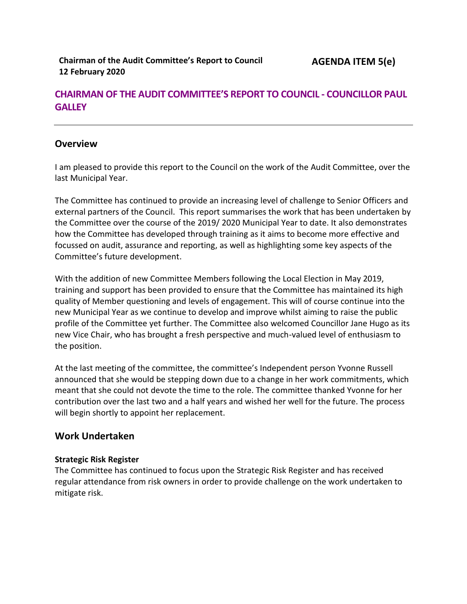# **CHAIRMAN OF THE AUDIT COMMITTEE'S REPORT TO COUNCIL - COUNCILLOR PAUL GALLEY**

# **Overview**

I am pleased to provide this report to the Council on the work of the Audit Committee, over the last Municipal Year.

The Committee has continued to provide an increasing level of challenge to Senior Officers and external partners of the Council. This report summarises the work that has been undertaken by the Committee over the course of the 2019/ 2020 Municipal Year to date. It also demonstrates how the Committee has developed through training as it aims to become more effective and focussed on audit, assurance and reporting, as well as highlighting some key aspects of the Committee's future development.

With the addition of new Committee Members following the Local Election in May 2019, training and support has been provided to ensure that the Committee has maintained its high quality of Member questioning and levels of engagement. This will of course continue into the new Municipal Year as we continue to develop and improve whilst aiming to raise the public profile of the Committee yet further. The Committee also welcomed Councillor Jane Hugo as its new Vice Chair, who has brought a fresh perspective and much-valued level of enthusiasm to the position.

At the last meeting of the committee, the committee's Independent person Yvonne Russell announced that she would be stepping down due to a change in her work commitments, which meant that she could not devote the time to the role. The committee thanked Yvonne for her contribution over the last two and a half years and wished her well for the future. The process will begin shortly to appoint her replacement.

## **Work Undertaken**

## **Strategic Risk Register**

The Committee has continued to focus upon the Strategic Risk Register and has received regular attendance from risk owners in order to provide challenge on the work undertaken to mitigate risk.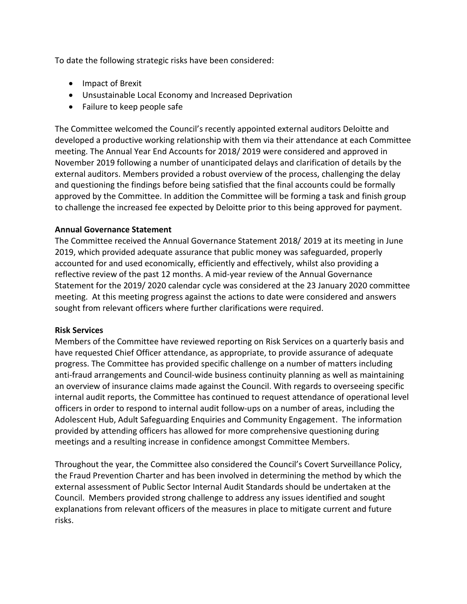To date the following strategic risks have been considered:

- Impact of Brexit
- Unsustainable Local Economy and Increased Deprivation
- Failure to keep people safe

The Committee welcomed the Council's recently appointed external auditors Deloitte and developed a productive working relationship with them via their attendance at each Committee meeting. The Annual Year End Accounts for 2018/ 2019 were considered and approved in November 2019 following a number of unanticipated delays and clarification of details by the external auditors. Members provided a robust overview of the process, challenging the delay and questioning the findings before being satisfied that the final accounts could be formally approved by the Committee. In addition the Committee will be forming a task and finish group to challenge the increased fee expected by Deloitte prior to this being approved for payment.

### **Annual Governance Statement**

The Committee received the Annual Governance Statement 2018/ 2019 at its meeting in June 2019, which provided adequate assurance that public money was safeguarded, properly accounted for and used economically, efficiently and effectively, whilst also providing a reflective review of the past 12 months. A mid-year review of the Annual Governance Statement for the 2019/ 2020 calendar cycle was considered at the 23 January 2020 committee meeting. At this meeting progress against the actions to date were considered and answers sought from relevant officers where further clarifications were required.

#### **Risk Services**

Members of the Committee have reviewed reporting on Risk Services on a quarterly basis and have requested Chief Officer attendance, as appropriate, to provide assurance of adequate progress. The Committee has provided specific challenge on a number of matters including anti-fraud arrangements and Council-wide business continuity planning as well as maintaining an overview of insurance claims made against the Council. With regards to overseeing specific internal audit reports, the Committee has continued to request attendance of operational level officers in order to respond to internal audit follow-ups on a number of areas, including the Adolescent Hub, Adult Safeguarding Enquiries and Community Engagement. The information provided by attending officers has allowed for more comprehensive questioning during meetings and a resulting increase in confidence amongst Committee Members.

Throughout the year, the Committee also considered the Council's Covert Surveillance Policy, the Fraud Prevention Charter and has been involved in determining the method by which the external assessment of Public Sector Internal Audit Standards should be undertaken at the Council. Members provided strong challenge to address any issues identified and sought explanations from relevant officers of the measures in place to mitigate current and future risks.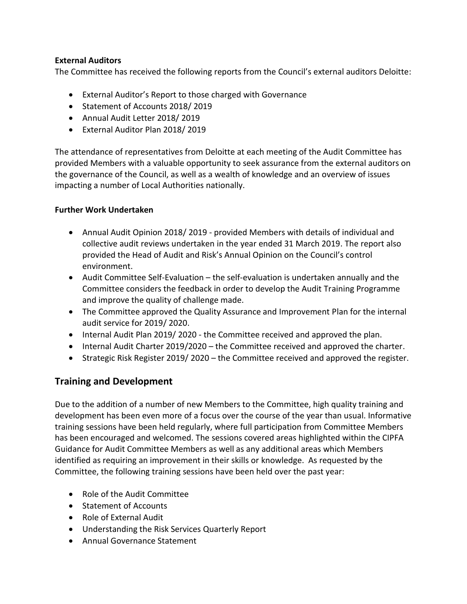## **External Auditors**

The Committee has received the following reports from the Council's external auditors Deloitte:

- External Auditor's Report to those charged with Governance
- Statement of Accounts 2018/2019
- Annual Audit Letter 2018/ 2019
- External Auditor Plan 2018/ 2019

The attendance of representatives from Deloitte at each meeting of the Audit Committee has provided Members with a valuable opportunity to seek assurance from the external auditors on the governance of the Council, as well as a wealth of knowledge and an overview of issues impacting a number of Local Authorities nationally.

### **Further Work Undertaken**

- Annual Audit Opinion 2018/ 2019 provided Members with details of individual and collective audit reviews undertaken in the year ended 31 March 2019. The report also provided the Head of Audit and Risk's Annual Opinion on the Council's control environment.
- Audit Committee Self-Evaluation the self-evaluation is undertaken annually and the Committee considers the feedback in order to develop the Audit Training Programme and improve the quality of challenge made.
- The Committee approved the Quality Assurance and Improvement Plan for the internal audit service for 2019/ 2020.
- Internal Audit Plan 2019/ 2020 the Committee received and approved the plan.
- Internal Audit Charter 2019/2020 the Committee received and approved the charter.
- $\bullet$  Strategic Risk Register 2019/2020 the Committee received and approved the register.

## **Training and Development**

Due to the addition of a number of new Members to the Committee, high quality training and development has been even more of a focus over the course of the year than usual. Informative training sessions have been held regularly, where full participation from Committee Members has been encouraged and welcomed. The sessions covered areas highlighted within the CIPFA Guidance for Audit Committee Members as well as any additional areas which Members identified as requiring an improvement in their skills or knowledge. As requested by the Committee, the following training sessions have been held over the past year:

- Role of the Audit Committee
- Statement of Accounts
- Role of External Audit
- Understanding the Risk Services Quarterly Report
- Annual Governance Statement